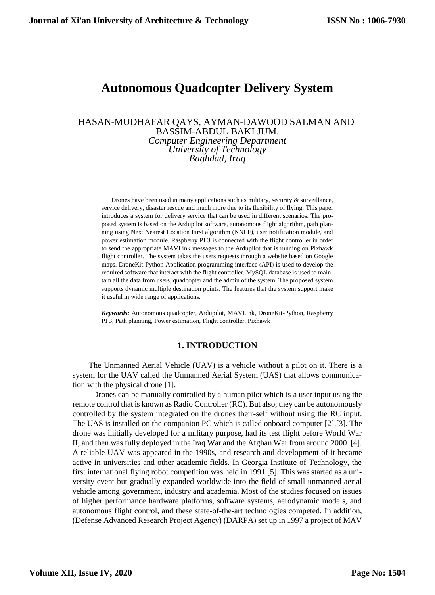# **Autonomous Quadcopter Delivery System**

## HASAN-MUDHAFAR QAYS, AYMAN-DAWOOD SALMAN AND BASSIM-ABDUL BAKI JUM. *Computer Engineering Department University of Technology Baghdad, Iraq*

Drones have been used in many applications such as military, security  $\&$  surveillance, service delivery, disaster rescue and much more due to its flexibility of flying. This paper introduces a system for delivery service that can be used in different scenarios. The proposed system is based on the Ardupilot software, autonomous flight algorithm, path planning using Next Nearest Location First algorithm (NNLF), user notification module, and power estimation module. Raspberry PI 3 is connected with the flight controller in order to send the appropriate MAVLink messages to the Ardupilot that is running on Pixhawk flight controller. The system takes the users requests through a website based on Google maps. DroneKit-Python Application programming interface (API) is used to develop the required software that interact with the flight controller. MySQL database is used to maintain all the data from users, quadcopter and the admin of the system. The proposed system supports dynamic multiple destination points. The features that the system support make it useful in wide range of applications.

*Keywords:* Autonomous quadcopter, Ardupilot, MAVLink, DroneKit-Python, Raspberry PI 3, Path planning, Power estimation, Flight controller, Pixhawk

#### **1. INTRODUCTION**

The Unmanned Aerial Vehicle (UAV) is a vehicle without a pilot on it. There is a system for the UAV called the Unmanned Aerial System (UAS) that allows communication with the physical drone [1].

Drones can be manually controlled by a human pilot which is a user input using the remote control that is known as Radio Controller (RC). But also, they can be autonomously controlled by the system integrated on the drones their-self without using the RC input. The UAS is installed on the companion PC which is called onboard computer [2],[3]. The drone was initially developed for a military purpose, had its test flight before World War II, and then was fully deployed in the Iraq War and the Afghan War from around 2000. [4]. A reliable UAV was appeared in the 1990s, and research and development of it became active in universities and other academic fields. In Georgia Institute of Technology, the first international flying robot competition was held in 1991 [5]. This was started as a university event but gradually expanded worldwide into the field of small unmanned aerial vehicle among government, industry and academia. Most of the studies focused on issues of higher performance hardware platforms, software systems, aerodynamic models, and autonomous flight control, and these state-of-the-art technologies competed. In addition, (Defense Advanced Research Project Agency) (DARPA) set up in 1997 a project of MAV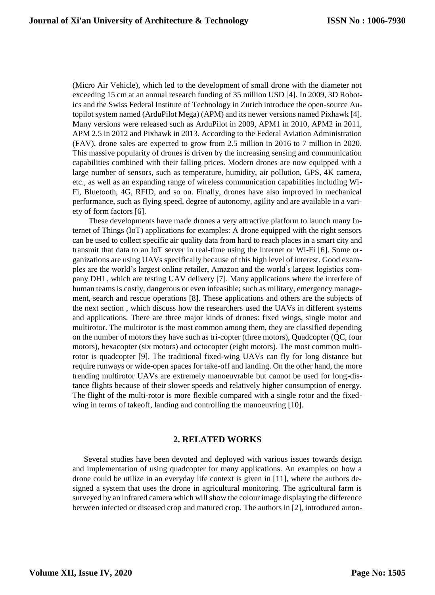(Micro Air Vehicle), which led to the development of small drone with the diameter not exceeding 15 cm at an annual research funding of 35 million USD [4]. In 2009, 3D Robotics and the Swiss Federal Institute of Technology in Zurich introduce the open-source Autopilot system named (ArduPilot Mega) (APM) and its newer versions named Pixhawk [4]. Many versions were released such as ArduPilot in 2009, APM1 in 2010, APM2 in 2011, APM 2.5 in 2012 and Pixhawk in 2013. According to the Federal Aviation Administration (FAV), drone sales are expected to grow from 2.5 million in 2016 to 7 million in 2020. This massive popularity of drones is driven by the increasing sensing and communication capabilities combined with their falling prices. Modern drones are now equipped with a large number of sensors, such as temperature, humidity, air pollution, GPS, 4K camera, etc., as well as an expanding range of wireless communication capabilities including Wi-Fi, Bluetooth, 4G, RFID, and so on. Finally, drones have also improved in mechanical performance, such as flying speed, degree of autonomy, agility and are available in a variety of form factors [6].

These developments have made drones a very attractive platform to launch many Internet of Things (IoT) applications for examples: A drone equipped with the right sensors can be used to collect specific air quality data from hard to reach places in a smart city and transmit that data to an IoT server in real-time using the internet or Wi-Fi [6]. Some organizations are using UAVs specifically because of this high level of interest. Good examples are the world's largest online retailer, Amazon and the world ́s largest logistics company DHL, which are testing UAV delivery [7]. Many applications where the interfere of human teams is costly, dangerous or even infeasible; such as military, emergency management, search and rescue operations [8]. These applications and others are the subjects of the next section , which discuss how the researchers used the UAVs in different systems and applications. There are three major kinds of drones: fixed wings, single motor and multirotor. The multirotor is the most common among them, they are classified depending on the number of motors they have such as tri-copter (three motors), Quadcopter (QC, four motors), hexacopter (six motors) and octocopter (eight motors). The most common multirotor is quadcopter [9]. The traditional fixed-wing UAVs can fly for long distance but require runways or wide-open spaces for take-off and landing. On the other hand, the more trending multirotor UAVs are extremely manoeuvrable but cannot be used for long-distance flights because of their slower speeds and relatively higher consumption of energy. The flight of the multi-rotor is more flexible compared with a single rotor and the fixedwing in terms of takeoff, landing and controlling the manoeuvring [10].

### **2. RELATED WORKS**

Several studies have been devoted and deployed with various issues towards design and implementation of using quadcopter for many applications. An examples on how a drone could be utilize in an everyday life context is given in [11], where the authors designed a system that uses the drone in agricultural monitoring. The agricultural farm is surveyed by an infrared camera which will show the colour image displaying the difference between infected or diseased crop and matured crop. The authors in [2], introduced auton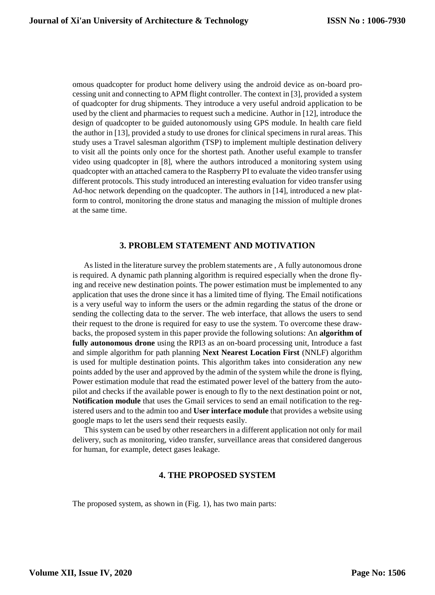omous quadcopter for product home delivery using the android device as on-board processing unit and connecting to APM flight controller. The context in [3], provided a system of quadcopter for drug shipments. They introduce a very useful android application to be used by the client and pharmacies to request such a medicine. Author in [12], introduce the design of quadcopter to be guided autonomously using GPS module. In health care field the author in [13], provided a study to use drones for clinical specimens in rural areas. This study uses a Travel salesman algorithm (TSP) to implement multiple destination delivery to visit all the points only once for the shortest path. Another useful example to transfer video using quadcopter in [8], where the authors introduced a monitoring system using quadcopter with an attached camera to the Raspberry PI to evaluate the video transfer using different protocols. This study introduced an interesting evaluation for video transfer using Ad-hoc network depending on the quadcopter. The authors in [14], introduced a new platform to control, monitoring the drone status and managing the mission of multiple drones at the same time.

# **3. PROBLEM STATEMENT AND MOTIVATION**

As listed in the literature survey the problem statements are , A fully autonomous drone is required. A dynamic path planning algorithm is required especially when the drone flying and receive new destination points. The power estimation must be implemented to any application that uses the drone since it has a limited time of flying. The Email notifications is a very useful way to inform the users or the admin regarding the status of the drone or sending the collecting data to the server. The web interface, that allows the users to send their request to the drone is required for easy to use the system. To overcome these drawbacks, the proposed system in this paper provide the following solutions: An **algorithm of fully autonomous drone** using the RPI3 as an on-board processing unit, Introduce a fast and simple algorithm for path planning **Next Nearest Location First** (NNLF) algorithm is used for multiple destination points. This algorithm takes into consideration any new points added by the user and approved by the admin of the system while the drone is flying, Power estimation module that read the estimated power level of the battery from the autopilot and checks if the available power is enough to fly to the next destination point or not, **Notification module** that uses the Gmail services to send an email notification to the registered users and to the admin too and **User interface module** that provides a website using google maps to let the users send their requests easily.

This system can be used by other researchers in a different application not only for mail delivery, such as monitoring, video transfer, surveillance areas that considered dangerous for human, for example, detect gases leakage.

# **4. THE PROPOSED SYSTEM**

The proposed system, as shown in (Fig. 1), has two main parts: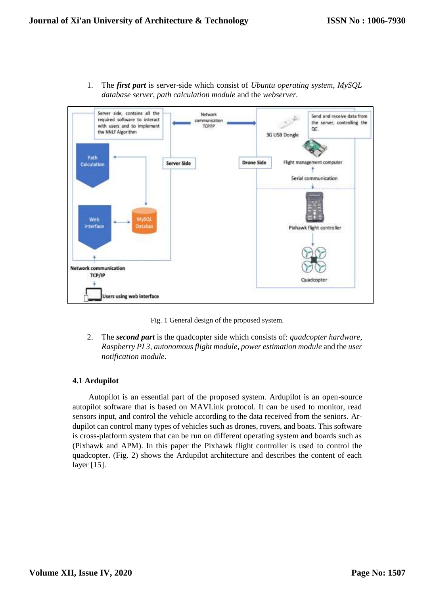

1. The *first part* is server-side which consist of *Ubuntu operating system*, *MySQL database server*, *path calculation module* and the *webserver.* 

Fig. 1 General design of the proposed system.

2. The *second part* is the quadcopter side which consists of: *quadcopter hardware*, *Raspberry PI 3, autonomous flight module*, *power estimation module* and the *user notification module.*

#### **4.1 Ardupilot**

Autopilot is an essential part of the proposed system. Ardupilot is an open-source autopilot software that is based on MAVLink protocol. It can be used to monitor, read sensors input, and control the vehicle according to the data received from the seniors. Ardupilot can control many types of vehicles such as drones, rovers, and boats. This software is cross-platform system that can be run on different operating system and boards such as (Pixhawk and APM). In this paper the Pixhawk flight controller is used to control the quadcopter. (Fig. 2) shows the Ardupilot architecture and describes the content of each layer [15].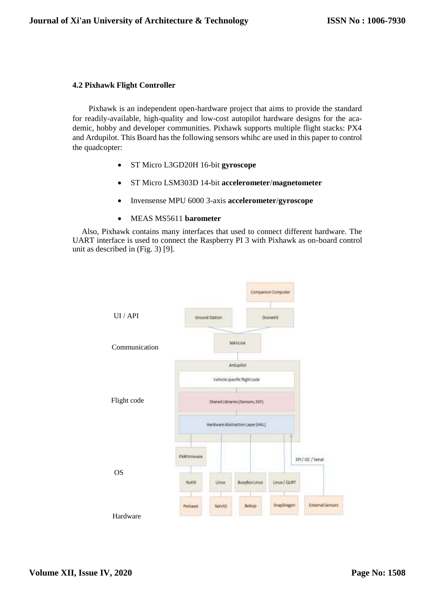#### **4.2 Pixhawk Flight Controller**

Pixhawk is an independent open-hardware project that aims to provide the standard for readily-available, high-quality and low-cost autopilot hardware designs for the academic, hobby and developer communities. Pixhawk supports multiple flight stacks: PX4 and Ardupilot. This Board has the following sensors whihc are used in this paper to control the quadcopter:

- ST Micro L3GD20H 16-bit **gyroscope**
- ST Micro LSM303D 14-bit **accelerometer**/**magnetometer**
- Invensense MPU 6000 3-axis **accelerometer**/**gyroscope**
- MEAS MS5611 **barometer**

Also, Pixhawk contains many interfaces that used to connect different hardware. The UART interface is used to connect the Raspberry PI 3 with Pixhawk as on-board control unit as described in (Fig. 3) [9].

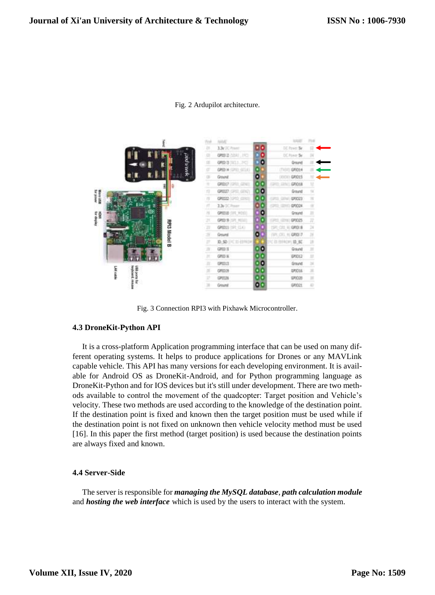

Fig. 2 Ardupilot architecture.

Fig. 3 Connection RPI3 with Pixhawk Microcontroller.

#### **4.3 DroneKit-Python API**

It is a cross-platform Application programming interface that can be used on many different operating systems. It helps to produce applications for Drones or any MAVLink capable vehicle. This API has many versions for each developing environment. It is available for Android OS as DroneKit-Android, and for Python programming language as DroneKit-Python and for IOS devices but it's still under development. There are two methods available to control the movement of the quadcopter: Target position and Vehicle's velocity. These two methods are used according to the knowledge of the destination point. If the destination point is fixed and known then the target position must be used while if the destination point is not fixed on unknown then vehicle velocity method must be used [16]. In this paper the first method (target position) is used because the destination points are always fixed and known.

## **4.4 Server-Side**

The server is responsible for *managing the MySQL database*, *path calculation module* and *hosting the web interface* which is used by the users to interact with the system.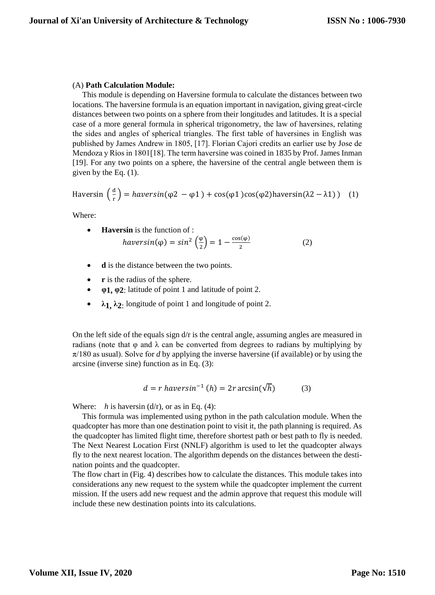#### (A) **Path Calculation Module:**

This module is depending on Haversine formula to calculate the distances between two locations. The haversine formula is an equation important in navigation, giving great-circle distances between two points on a sphere from their longitudes and latitudes. It is a special case of a more general formula in spherical trigonometry, the law of haversines, relating the sides and angles of spherical triangles. The first table of haversines in English was published by James Andrew in 1805, [17]. Florian Cajori credits an earlier use by Jose de Mendoza y Ríos in 1801[18]. The term haversine was coined in 1835 by Prof. James Inman [19]. For any two points on a sphere, the haversine of the central angle between them is given by the Eq. (1).

Haversin 
$$
\left(\frac{d}{r}\right)
$$
 = *haversin*(φ2 - φ1) + cos(φ1)cos(φ2)haversin(λ2 – λ1)) (1)

Where:

- **Haversin** is the function of : haversin( $\varphi$ ) = sin<sup>2</sup>  $\left(\frac{\varphi}{2}\right)$  $\left(\frac{\varphi}{2}\right) = 1 - \frac{\cos(\varphi)}{2}$ 2 (2)
- **d** is the distance between the two points.
- **r** is the radius of the sphere.
- **φ1, φ2**: latitude of point 1 and latitude of point 2.
- **λ1, λ2**: longitude of point 1 and longitude of point 2.

On the left side of the equals sign  $d/r$  is the central angle, assuming angles are measured in radians (note that  $\varphi$  and  $\lambda$  can be converted from degrees to radians by multiplying by  $\pi/180$  as usual). Solve for *d* by applying the inverse haversine (if available) or by using the arcsine (inverse sine) function as in Eq. (3):

$$
d = r \, haversin^{-1} \, (h) = 2r \arcsin(\sqrt{h}) \tag{3}
$$

Where:  $h$  is haversin (d/r), or as in Eq. (4):

This formula was implemented using python in the path calculation module. When the quadcopter has more than one destination point to visit it, the path planning is required. As the quadcopter has limited flight time, therefore shortest path or best path to fly is needed. The Next Nearest Location First (NNLF) algorithm is used to let the quadcopter always fly to the next nearest location. The algorithm depends on the distances between the destination points and the quadcopter.

The flow chart in (Fig. 4) describes how to calculate the distances. This module takes into considerations any new request to the system while the quadcopter implement the current mission. If the users add new request and the admin approve that request this module will include these new destination points into its calculations.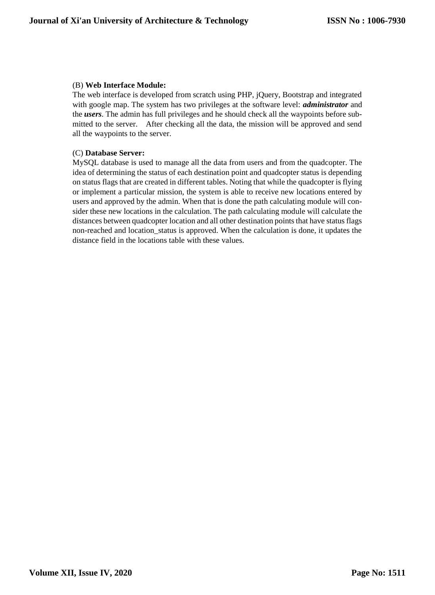# (B) **Web Interface Module:**

The web interface is developed from scratch using PHP, jQuery, Bootstrap and integrated with google map. The system has two privileges at the software level: *administrator* and the *users*. The admin has full privileges and he should check all the waypoints before submitted to the server. After checking all the data, the mission will be approved and send all the waypoints to the server.

#### (C) **Database Server:**

MySQL database is used to manage all the data from users and from the quadcopter. The idea of determining the status of each destination point and quadcopter status is depending on status flags that are created in different tables. Noting that while the quadcopter is flying or implement a particular mission, the system is able to receive new locations entered by users and approved by the admin. When that is done the path calculating module will consider these new locations in the calculation. The path calculating module will calculate the distances between quadcopter location and all other destination points that have status flags non-reached and location\_status is approved. When the calculation is done, it updates the distance field in the locations table with these values.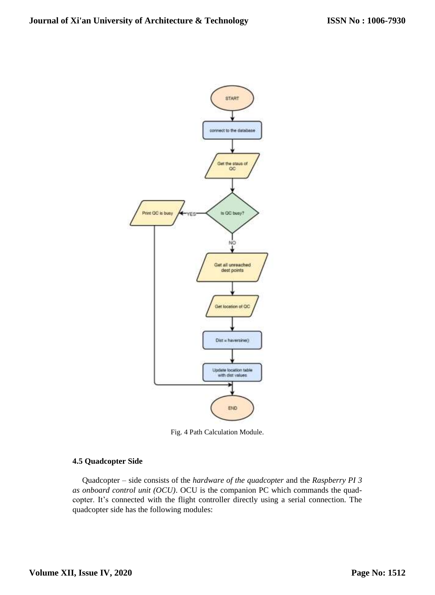

Fig. 4 Path Calculation Module.

#### **4.5 Quadcopter Side**

Quadcopter – side consists of the *hardware of the quadcopter* and the *Raspberry PI 3 as onboard control unit (OCU)*. OCU is the companion PC which commands the quadcopter. It's connected with the flight controller directly using a serial connection. The quadcopter side has the following modules: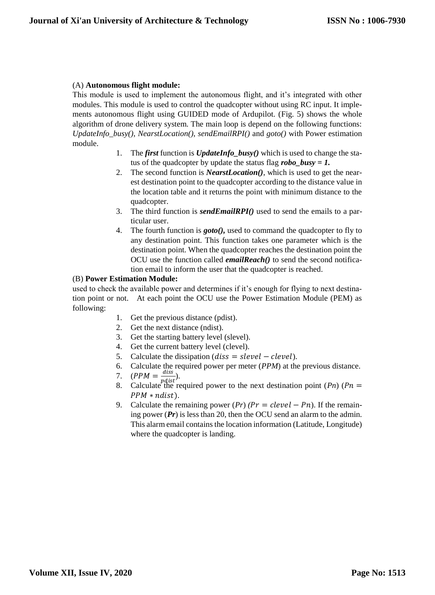# (A) **Autonomous flight module:**

This module is used to implement the autonomous flight, and it's integrated with other modules. This module is used to control the quadcopter without using RC input. It implements autonomous flight using GUIDED mode of Ardupilot. (Fig. 5) shows the whole algorithm of drone delivery system. The main loop is depend on the following functions: *UpdateInfo\_busy()*, *NearstLocation()*, *sendEmailRPI()* and *goto()* with Power estimation module.

- 1. The *first* function is *UpdateInfo\_busy()* which is used to change the status of the quadcopter by update the status flag *robo\_busy = 1.*
- 2. The second function is *NearstLocation()*, which is used to get the nearest destination point to the quadcopter according to the distance value in the location table and it returns the point with minimum distance to the quadcopter.
- 3. The third function is *sendEmailRPI()* used to send the emails to a particular user.
- 4. The fourth function is *goto(),* used to command the quadcopter to fly to any destination point. This function takes one parameter which is the destination point. When the quadcopter reaches the destination point the OCU use the function called *emailReach()* to send the second notification email to inform the user that the quadcopter is reached.

# (B) **Power Estimation Module:**

used to check the available power and determines if it's enough for flying to next destination point or not. At each point the OCU use the Power Estimation Module (PEM) as following:

- 1. Get the previous distance (pdist).
- 2. Get the next distance (ndist).
- 3. Get the starting battery level (slevel).
- 4. Get the current battery level (clevel).
- 5. Calculate the dissipation ( $diss = slevel clevel$ ).
- 6. Calculate the required power per meter (*PPM*) at the previous distance.
- 7.  $(PPM = \frac{diss}{ndis})$  $\frac{u}{\text{ndist}}$ ).
- 8. Calculate the required power to the next destination point  $(Ph)$  ( $Ph =$  $PPM * ndist$ ).
- 9. Calculate the remaining power  $(Pr)$   $(Pr = cleverl Pn)$ . If the remaining power (*Pr*) is less than 20, then the OCU send an alarm to the admin. This alarm email contains the location information (Latitude, Longitude) where the quadcopter is landing.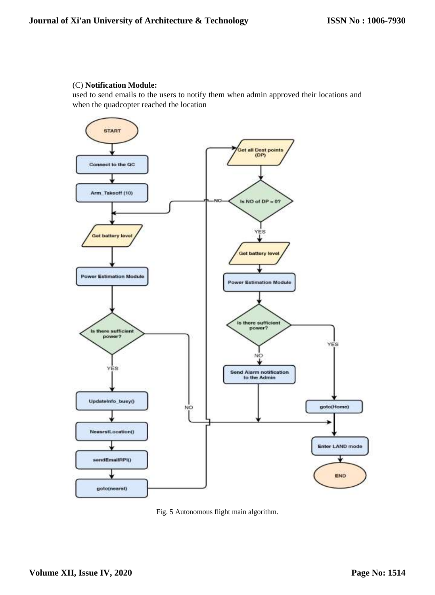#### (C) **Notification Module:**

used to send emails to the users to notify them when admin approved their locations and when the quadcopter reached the location



Fig. 5 Autonomous flight main algorithm.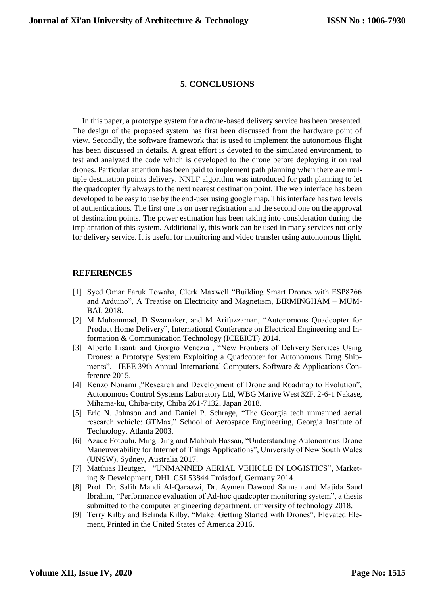# **5. CONCLUSIONS**

In this paper, a prototype system for a drone-based delivery service has been presented. The design of the proposed system has first been discussed from the hardware point of view. Secondly, the software framework that is used to implement the autonomous flight has been discussed in details. A great effort is devoted to the simulated environment, to test and analyzed the code which is developed to the drone before deploying it on real drones. Particular attention has been paid to implement path planning when there are multiple destination points delivery. NNLF algorithm was introduced for path planning to let the quadcopter fly always to the next nearest destination point. The web interface has been developed to be easy to use by the end-user using google map. This interface has two levels of authentications. The first one is on user registration and the second one on the approval of destination points. The power estimation has been taking into consideration during the implantation of this system. Additionally, this work can be used in many services not only for delivery service. It is useful for monitoring and video transfer using autonomous flight.

# **REFERENCES**

- [1] Syed Omar Faruk Towaha, Clerk Maxwell "Building Smart Drones with ESP8266 and Arduino", A Treatise on Electricity and Magnetism, BIRMINGHAM – MUM-BAI, 2018.
- [2] M Muhammad, D Swarnaker, and M Arifuzzaman, "Autonomous Quadcopter for Product Home Delivery", International Conference on Electrical Engineering and Information & Communication Technology (ICEEICT) 2014.
- [3] Alberto Lisanti and Giorgio Venezia , "New Frontiers of Delivery Services Using Drones: a Prototype System Exploiting a Quadcopter for Autonomous Drug Shipments", IEEE 39th Annual International Computers, Software & Applications Conference 2015.
- [4] Kenzo Nonami ,"Research and Development of Drone and Roadmap to Evolution", Autonomous Control Systems Laboratory Ltd, WBG Marive West 32F, 2-6-1 Nakase, Mihama-ku, Chiba-city, Chiba 261-7132, Japan 2018.
- [5] Eric N. Johnson and and Daniel P. Schrage, "The Georgia tech unmanned aerial research vehicle: GTMax," School of Aerospace Engineering, Georgia Institute of Technology, Atlanta 2003.
- [6] Azade Fotouhi, Ming Ding and Mahbub Hassan, "Understanding Autonomous Drone Maneuverability for Internet of Things Applications", University of New South Wales (UNSW), Sydney, Australia 2017.
- [7] Matthias Heutger, "UNMANNED AERIAL VEHICLE IN LOGISTICS", Marketing & Development, DHL CSI 53844 Troisdorf, Germany 2014.
- [8] Prof. Dr. Salih Mahdi Al-Qaraawi, Dr. Aymen Dawood Salman and Majida Saud Ibrahim, "Performance evaluation of Ad-hoc quadcopter monitoring system", a thesis submitted to the computer engineering department, university of technology 2018.
- [9] Terry Kilby and Belinda Kilby, "Make: Getting Started with Drones", Elevated Element, Printed in the United States of America 2016.